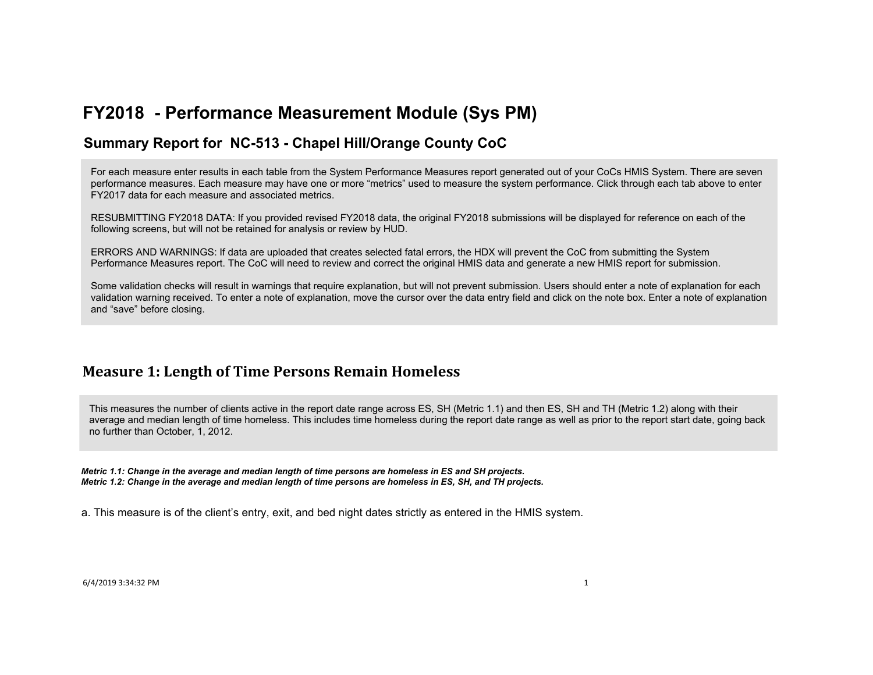### **Summary Report for NC-513 - Chapel Hill/Orange County CoC**

For each measure enter results in each table from the System Performance Measures report generated out of your CoCs HMIS System. There are seven performance measures. Each measure may have one or more "metrics" used to measure the system performance. Click through each tab above to enter FY2017 data for each measure and associated metrics.

RESUBMITTING FY2018 DATA: If you provided revised FY2018 data, the original FY2018 submissions will be displayed for reference on each of the following screens, but will not be retained for analysis or review by HUD.

ERRORS AND WARNINGS: If data are uploaded that creates selected fatal errors, the HDX will prevent the CoC from submitting the System Performance Measures report. The CoC will need to review and correct the original HMIS data and generate a new HMIS report for submission.

Some validation checks will result in warnings that require explanation, but will not prevent submission. Users should enter a note of explanation for each validation warning received. To enter a note of explanation, move the cursor over the data entry field and click on the note box. Enter a note of explanation and "save" before closing.

## **Measure 1: Length of Time Persons Remain Homeless**

This measures the number of clients active in the report date range across ES, SH (Metric 1.1) and then ES, SH and TH (Metric 1.2) along with their average and median length of time homeless. This includes time homeless during the report date range as well as prior to the report start date, going back no further than October, 1, 2012.

*Metric 1.1: Change in the average and median length of time persons are homeless in ES and SH projects. Metric 1.2: Change in the average and median length of time persons are homeless in ES, SH, and TH projects.*

a. This measure is of the client's entry, exit, and bed night dates strictly as entered in the HMIS system.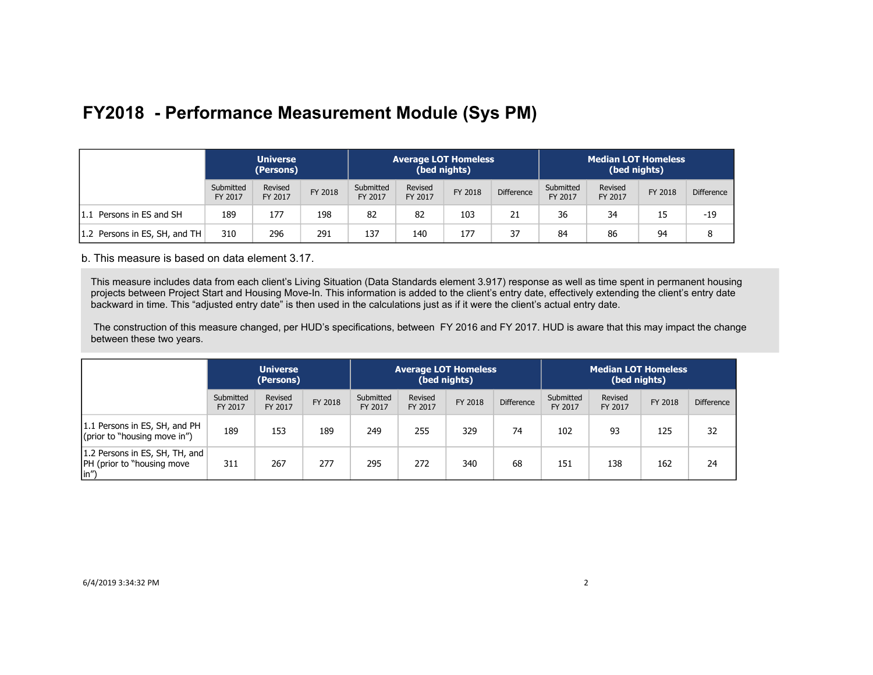|                               | <b>Universe</b><br>(Persons) |                    |         |                      |                    | <b>Average LOT Homeless</b><br>(bed nights) |                   | <b>Median LOT Homeless</b><br>(bed nights) |                    |         |                   |
|-------------------------------|------------------------------|--------------------|---------|----------------------|--------------------|---------------------------------------------|-------------------|--------------------------------------------|--------------------|---------|-------------------|
|                               | Submitted<br>FY 2017         | Revised<br>FY 2017 | FY 2018 | Submitted<br>FY 2017 | Revised<br>FY 2017 | FY 2018                                     | <b>Difference</b> | Submitted<br>FY 2017                       | Revised<br>FY 2017 | FY 2018 | <b>Difference</b> |
| 1.1 Persons in ES and SH      | 189                          | 177                | 198     | 82                   | 82                 | 103                                         | 21                | 36                                         | 34                 | 15      | $-19$             |
| 1.2 Persons in ES, SH, and TH | 310                          | 296                | 291     | 137                  | 140                | 177                                         | 37                | 84                                         | 86                 | 94      |                   |

b. This measure is based on data element 3.17.

This measure includes data from each client's Living Situation (Data Standards element 3.917) response as well as time spent in permanent housing projects between Project Start and Housing Move-In. This information is added to the client's entry date, effectively extending the client's entry date backward in time. This "adjusted entry date" is then used in the calculations just as if it were the client's actual entry date.

 The construction of this measure changed, per HUD's specifications, between FY 2016 and FY 2017. HUD is aware that this may impact the change between these two years.

|                                                                                     | <b>Universe</b><br>(Persons) |                    |         |                      | <b>Average LOT Homeless</b> | (bed nights) |                   | <b>Median LOT Homeless</b><br>(bed nights) |                    |         |                   |
|-------------------------------------------------------------------------------------|------------------------------|--------------------|---------|----------------------|-----------------------------|--------------|-------------------|--------------------------------------------|--------------------|---------|-------------------|
|                                                                                     | Submitted<br>FY 2017         | Revised<br>FY 2017 | FY 2018 | Submitted<br>FY 2017 | Revised<br>FY 2017          | FY 2018      | <b>Difference</b> | Submitted<br>FY 2017                       | Revised<br>FY 2017 | FY 2018 | <b>Difference</b> |
| 1.1 Persons in ES, SH, and PH<br>(prior to "housing move in")                       | 189                          | 153                | 189     | 249                  | 255                         | 329          | 74                | 102                                        | 93                 | 125     | 32                |
| 1.2 Persons in ES, SH, TH, and<br><b>PH</b> (prior to "housing move<br>$\vert$ in") | 311                          | 267                | 277     | 295                  | 272                         | 340          | 68                | 151                                        | 138                | 162     | 24                |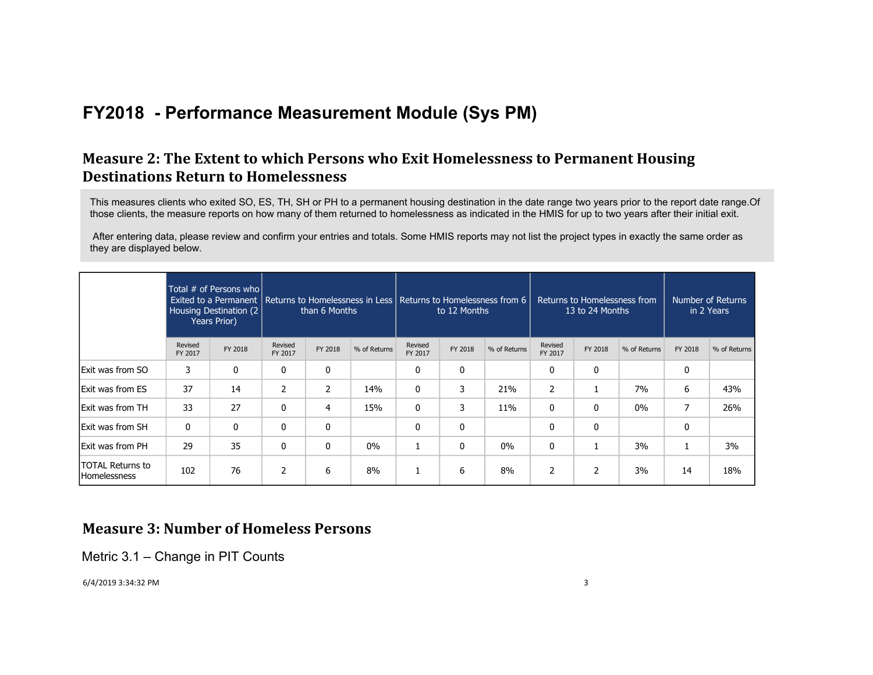## **Measure 2: The Extent to which Persons who Exit Homelessness to Permanent Housing Destinations Return to Homelessness**

This measures clients who exited SO, ES, TH, SH or PH to a permanent housing destination in the date range two years prior to the report date range.Of those clients, the measure reports on how many of them returned to homelessness as indicated in the HMIS for up to two years after their initial exit.

 After entering data, please review and confirm your entries and totals. Some HMIS reports may not list the project types in exactly the same order as they are displayed below.

|                                                |                    | Total # of Persons who<br>Exited to a Permanent   Returns to Homelessness in Less   Returns to Homelessness from 6<br>Housing Destination (2)<br>Years Prior) |                    | than 6 Months  |              |                    | to 12 Months |              | Returns to Homelessness from<br>13 to 24 Months |         | Number of Returns<br>in 2 Years |         |              |
|------------------------------------------------|--------------------|---------------------------------------------------------------------------------------------------------------------------------------------------------------|--------------------|----------------|--------------|--------------------|--------------|--------------|-------------------------------------------------|---------|---------------------------------|---------|--------------|
|                                                | Revised<br>FY 2017 | FY 2018                                                                                                                                                       | Revised<br>FY 2017 | FY 2018        | % of Returns | Revised<br>FY 2017 | FY 2018      | % of Returns | Revised<br>FY 2017                              | FY 2018 | % of Returns                    | FY 2018 | % of Returns |
| <b>Exit was from SO</b>                        | 3                  | 0                                                                                                                                                             | 0                  | 0              |              | 0                  | 0            |              | 0                                               | 0       |                                 | 0       |              |
| Exit was from ES                               | 37                 | 14                                                                                                                                                            | $\overline{2}$     | $\overline{2}$ | 14%          | $\mathbf 0$        | 3            | 21%          | $\overline{2}$                                  |         | 7%                              | 6       | 43%          |
| <b>Exit was from TH</b>                        | 33                 | 27                                                                                                                                                            | 0                  | $\overline{4}$ | 15%          | 0                  | 3            | 11%          | 0                                               | 0       | $0\%$                           | 7       | 26%          |
| <b>Exit was from SH</b>                        | 0                  | $\mathbf{0}$                                                                                                                                                  | $\mathbf{0}$       | 0              |              | 0                  | 0            |              | 0                                               | 0       |                                 | 0       |              |
| Exit was from PH                               | 29                 | 35                                                                                                                                                            | 0                  | $\mathbf{0}$   | 0%           |                    | 0            | $0\%$        | 0                                               |         | 3%                              |         | 3%           |
| <b>TOTAL Returns to</b><br><b>Homelessness</b> | 102                | 76                                                                                                                                                            | 2                  | 6              | 8%           | <b>I</b>           | 6            | 8%           | 2                                               | 2       | 3%                              | 14      | 18%          |

### **Measure 3: Number of Homeless Persons**

Metric 3.1 – Change in PIT Counts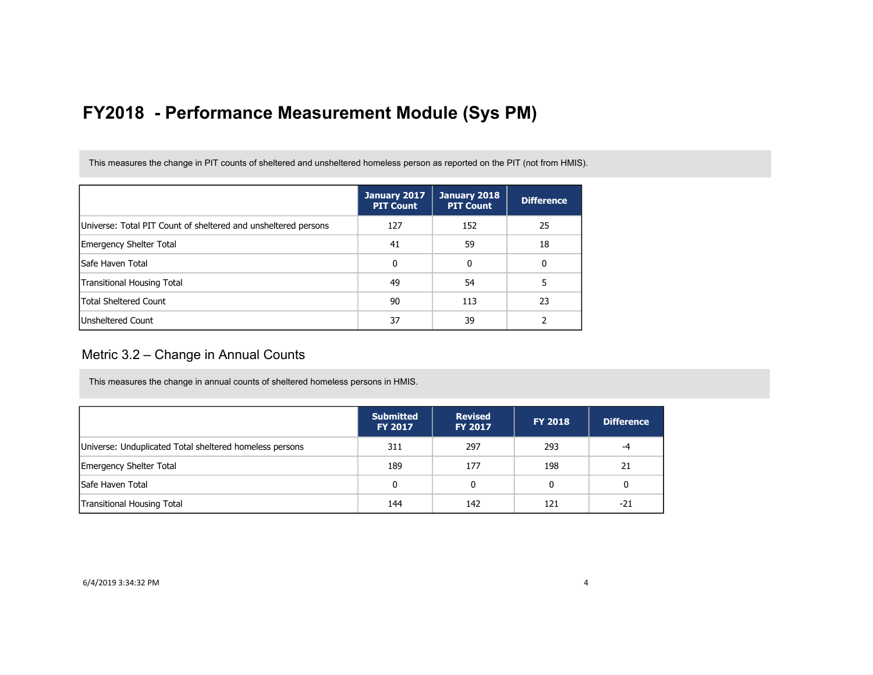This measures the change in PIT counts of sheltered and unsheltered homeless person as reported on the PIT (not from HMIS).

|                                                                | January 2017<br><b>PIT Count</b> | January 2018<br><b>PIT Count</b> | <b>Difference</b> |
|----------------------------------------------------------------|----------------------------------|----------------------------------|-------------------|
| Universe: Total PIT Count of sheltered and unsheltered persons | 127                              | 152                              | 25                |
| <b>Emergency Shelter Total</b>                                 | 41                               | 59                               | 18                |
| lSafe Haven Total                                              | 0                                | 0                                | 0                 |
| Transitional Housing Total                                     | 49                               | 54                               |                   |
| <b>Total Sheltered Count</b>                                   | 90                               | 113                              | 23                |
| <b>Unsheltered Count</b>                                       | 37                               | 39                               |                   |

#### Metric 3.2 – Change in Annual Counts

This measures the change in annual counts of sheltered homeless persons in HMIS.

|                                                         | <b>Submitted</b><br><b>FY 2017</b> | <b>Revised</b><br>FY 2017 | <b>FY 2018</b> | <b>Difference</b> |
|---------------------------------------------------------|------------------------------------|---------------------------|----------------|-------------------|
| Universe: Unduplicated Total sheltered homeless persons | 311                                | 297                       | 293            | -4                |
| <b>Emergency Shelter Total</b>                          | 189                                | 177                       | 198            | 21                |
| <b>Safe Haven Total</b>                                 | 0                                  | 0                         | 0              | 0                 |
| <b>Transitional Housing Total</b>                       | 144                                | 142                       | 121            | -21               |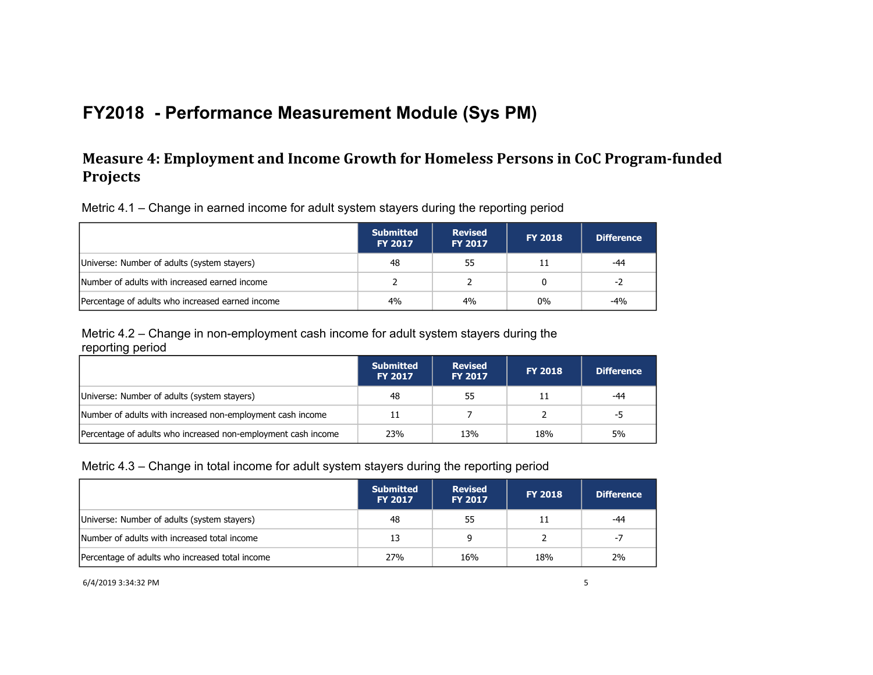## **Measure 4: Employment and Income Growth for Homeless Persons in CoC Program-funded Projects**

Metric 4.1 – Change in earned income for adult system stayers during the reporting period

|                                                  | <b>Submitted</b><br><b>FY 2017</b> | <b>Revised</b><br><b>FY 2017</b> | <b>FY 2018</b> | <b>Difference</b> |
|--------------------------------------------------|------------------------------------|----------------------------------|----------------|-------------------|
| Universe: Number of adults (system stayers)      | 48                                 | 55                               | 11             | -44               |
| Number of adults with increased earned income    |                                    |                                  | 0              | -2                |
| Percentage of adults who increased earned income | 4%                                 | 4%                               | $0\%$          | -4%               |

Metric 4.2 – Change in non-employment cash income for adult system stayers during the reporting period

|                                                               | <b>Submitted</b><br><b>FY 2017</b> | <b>Revised</b><br><b>FY 2017</b> | <b>FY 2018</b> | <b>Difference</b> |
|---------------------------------------------------------------|------------------------------------|----------------------------------|----------------|-------------------|
| Universe: Number of adults (system stayers)                   | 48                                 | 55                               | 11             | -44               |
| Number of adults with increased non-employment cash income    |                                    |                                  |                | -5                |
| Percentage of adults who increased non-employment cash income | 23%                                | 13%                              | 18%            | 5%                |

#### Metric 4.3 – Change in total income for adult system stayers during the reporting period

|                                                 | <b>Submitted</b><br><b>FY 2017</b> | <b>Revised</b><br><b>FY 2017</b> | <b>FY 2018</b> | <b>Difference</b> |
|-------------------------------------------------|------------------------------------|----------------------------------|----------------|-------------------|
| Universe: Number of adults (system stayers)     | 48                                 | 55                               | 11             | -44               |
| Number of adults with increased total income    | 13                                 | 9                                |                | $-7$              |
| Percentage of adults who increased total income | 27%                                | 16%                              | 18%            | 2%                |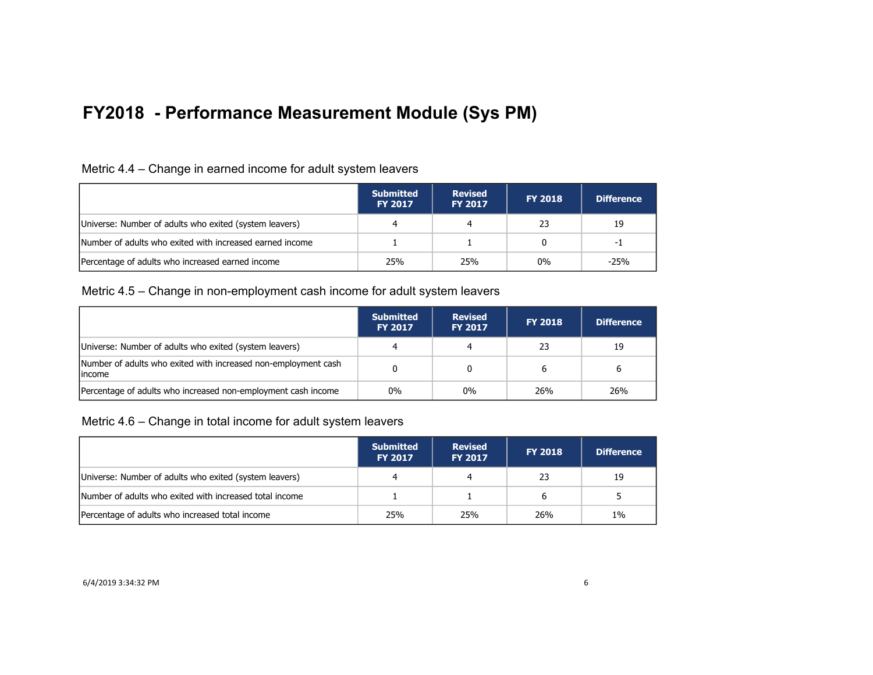| Metric 4.4 – Change in earned income for adult system leavers |  |  |  |
|---------------------------------------------------------------|--|--|--|
|                                                               |  |  |  |

|                                                          | <b>Submitted</b><br><b>FY 2017</b> | <b>Revised</b><br><b>FY 2017</b> | <b>FY 2018</b> | <b>Difference</b> |
|----------------------------------------------------------|------------------------------------|----------------------------------|----------------|-------------------|
| Universe: Number of adults who exited (system leavers)   |                                    |                                  | 23             | 19                |
| Number of adults who exited with increased earned income |                                    |                                  |                | -1                |
| Percentage of adults who increased earned income         | 25%                                | 25%                              | $0\%$          | $-25%$            |

#### Metric 4.5 – Change in non-employment cash income for adult system leavers

|                                                                           | <b>Submitted</b><br><b>FY 2017</b> | <b>Revised</b><br><b>FY 2017</b> | <b>FY 2018</b> | <b>Difference</b> |
|---------------------------------------------------------------------------|------------------------------------|----------------------------------|----------------|-------------------|
| Universe: Number of adults who exited (system leavers)                    |                                    |                                  | 23             | 19                |
| Number of adults who exited with increased non-employment cash<br>lincome |                                    |                                  |                | 6                 |
| Percentage of adults who increased non-employment cash income             | $0\%$                              | $0\%$                            | 26%            | 26%               |

Metric 4.6 – Change in total income for adult system leavers

|                                                         | <b>Submitted</b><br><b>FY 2017</b> | <b>Revised</b><br><b>FY 2017</b> | <b>FY 2018</b> | Difference |
|---------------------------------------------------------|------------------------------------|----------------------------------|----------------|------------|
| Universe: Number of adults who exited (system leavers)  |                                    |                                  | 23             | 19         |
| Number of adults who exited with increased total income |                                    |                                  | 6              |            |
| Percentage of adults who increased total income         | 25%                                | 25%                              | 26%            | $1\%$      |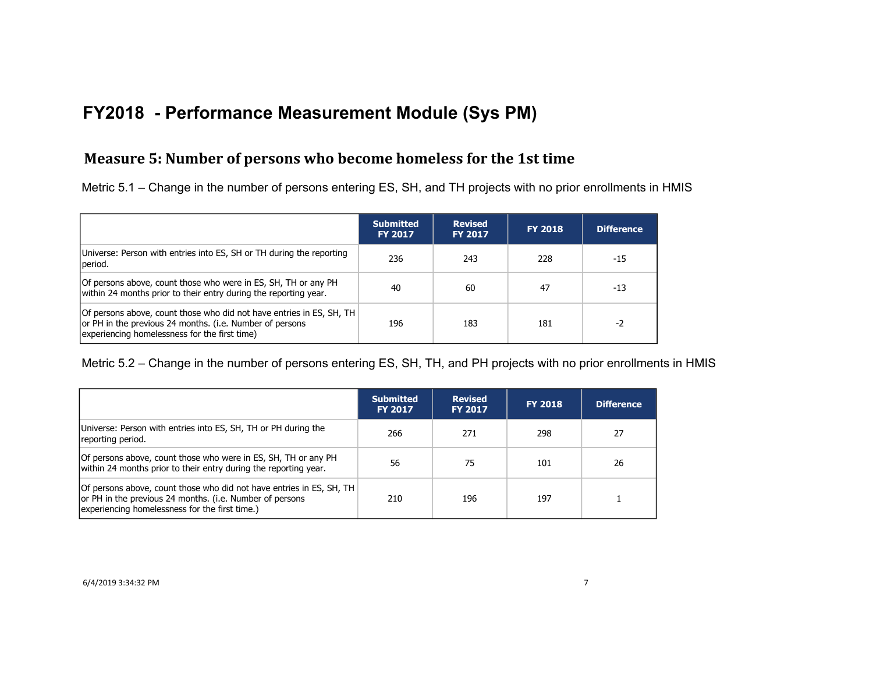## **Measure 5: Number of persons who become homeless for the 1st time**

Metric 5.1 – Change in the number of persons entering ES, SH, and TH projects with no prior enrollments in HMIS

|                                                                                                                                                                                   | <b>Submitted</b><br><b>FY 2017</b> | <b>Revised</b><br><b>FY 2017</b> | <b>FY 2018</b> | <b>Difference</b> |
|-----------------------------------------------------------------------------------------------------------------------------------------------------------------------------------|------------------------------------|----------------------------------|----------------|-------------------|
| Universe: Person with entries into ES, SH or TH during the reporting<br>period.                                                                                                   | 236                                | 243                              | 228            | -15               |
| Of persons above, count those who were in ES, SH, TH or any PH<br>within 24 months prior to their entry during the reporting year.                                                | 40                                 | 60                               | 47             | $-13$             |
| Of persons above, count those who did not have entries in ES, SH, TH<br>or PH in the previous 24 months. (i.e. Number of persons<br>experiencing homelessness for the first time) | 196                                | 183                              | 181            | -2                |

Metric 5.2 – Change in the number of persons entering ES, SH, TH, and PH projects with no prior enrollments in HMIS

|                                                                                                                                                                                    | <b>Submitted</b><br><b>FY 2017</b> | <b>Revised</b><br><b>FY 2017</b> | <b>FY 2018</b> | <b>Difference</b> |
|------------------------------------------------------------------------------------------------------------------------------------------------------------------------------------|------------------------------------|----------------------------------|----------------|-------------------|
| Universe: Person with entries into ES, SH, TH or PH during the<br>reporting period.                                                                                                | 266                                | 271                              | 298            | 27                |
| Of persons above, count those who were in ES, SH, TH or any PH<br>within 24 months prior to their entry during the reporting year.                                                 | 56                                 | 75                               | 101            | 26                |
| Of persons above, count those who did not have entries in ES, SH, TH<br>or PH in the previous 24 months. (i.e. Number of persons<br>experiencing homelessness for the first time.) | 210                                | 196                              | 197            |                   |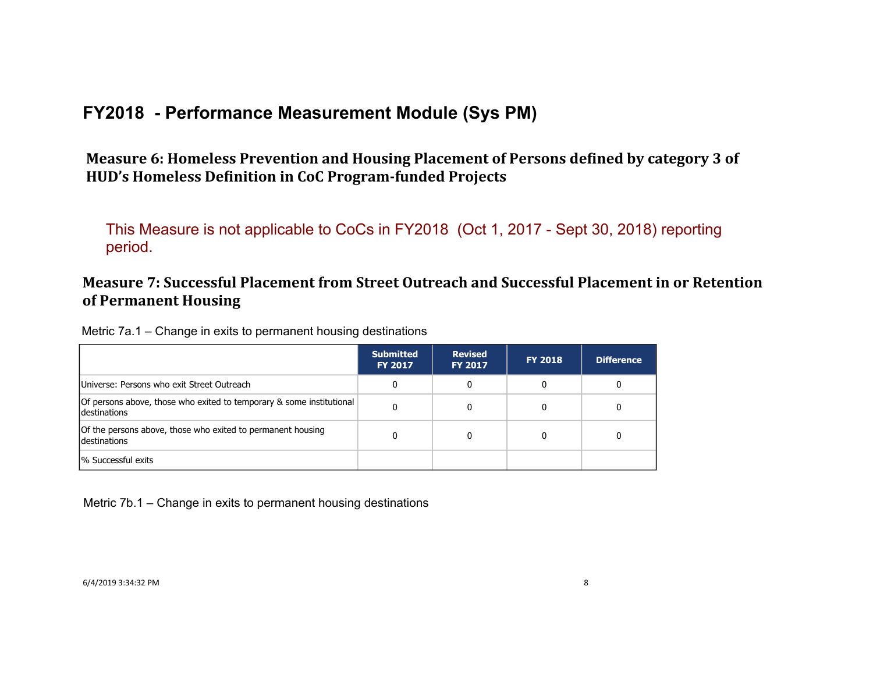Measure 6: Homeless Prevention and Housing Placement of Persons defined by category 3 of HUD's Homeless Definition in CoC Program-funded Projects

This Measure is not applicable to CoCs in FY2018 (Oct 1, 2017 - Sept 30, 2018) reporting period.

## **Measure 7: Successful Placement from Street Outreach and Successful Placement in or Retention of Permanent Housing**

Metric 7a.1 – Change in exits to permanent housing destinations

|                                                                                             | <b>Submitted</b><br><b>FY 2017</b> | <b>Revised</b><br><b>FY 2017</b> | <b>FY 2018</b> | <b>Difference</b> |
|---------------------------------------------------------------------------------------------|------------------------------------|----------------------------------|----------------|-------------------|
| Universe: Persons who exit Street Outreach                                                  |                                    |                                  | 0              | 0                 |
| Of persons above, those who exited to temporary & some institutional<br><b>destinations</b> |                                    |                                  |                |                   |
| Of the persons above, those who exited to permanent housing<br>destinations                 |                                    |                                  |                |                   |
| 1% Successful exits                                                                         |                                    |                                  |                |                   |

Metric 7b.1 – Change in exits to permanent housing destinations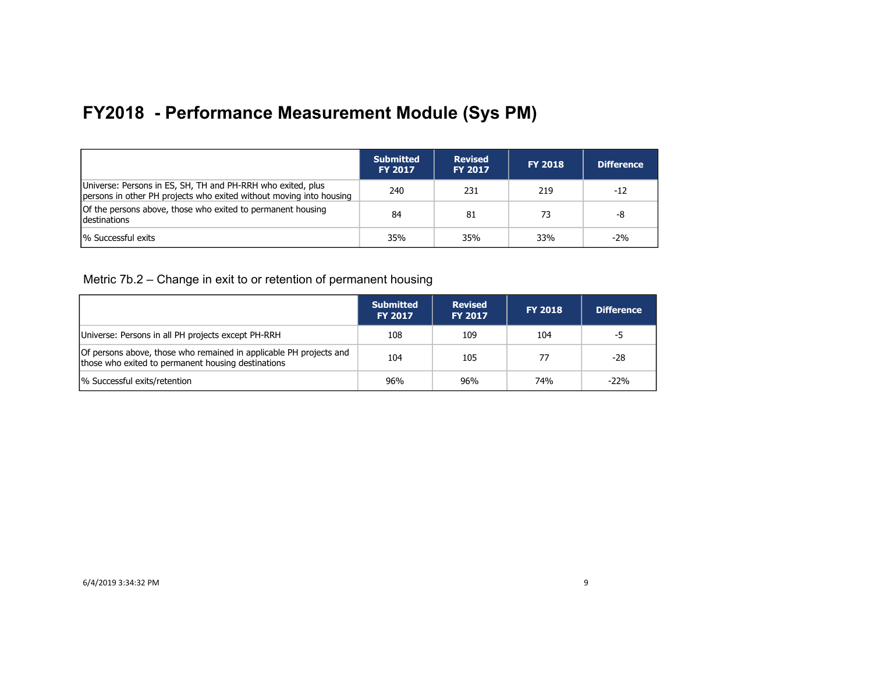|                                                                                                                                    | <b>Submitted</b><br><b>FY 2017</b> | <b>Revised</b><br><b>FY 2017</b> | <b>FY 2018</b> | <b>Difference</b> |
|------------------------------------------------------------------------------------------------------------------------------------|------------------------------------|----------------------------------|----------------|-------------------|
| Universe: Persons in ES, SH, TH and PH-RRH who exited, plus<br>persons in other PH projects who exited without moving into housing | 240                                | 231                              | 219            | $-12$             |
| Of the persons above, those who exited to permanent housing<br><b>Idestinations</b>                                                | 84                                 | 81                               | 73             | -8                |
| % Successful exits                                                                                                                 | 35%                                | 35%                              | 33%            | $-2%$             |

Metric 7b.2 – Change in exit to or retention of permanent housing

|                                                                                                                          | <b>Submitted</b><br><b>FY 2017</b> | <b>Revised</b><br><b>FY 2017</b> | <b>FY 2018</b> | <b>Difference</b> |
|--------------------------------------------------------------------------------------------------------------------------|------------------------------------|----------------------------------|----------------|-------------------|
| Universe: Persons in all PH projects except PH-RRH                                                                       | 108                                | 109                              | 104            | -5                |
| Of persons above, those who remained in applicable PH projects and<br>those who exited to permanent housing destinations | 104                                | 105                              | 77             | -28               |
| % Successful exits/retention                                                                                             | 96%                                | 96%                              | 74%            | $-22%$            |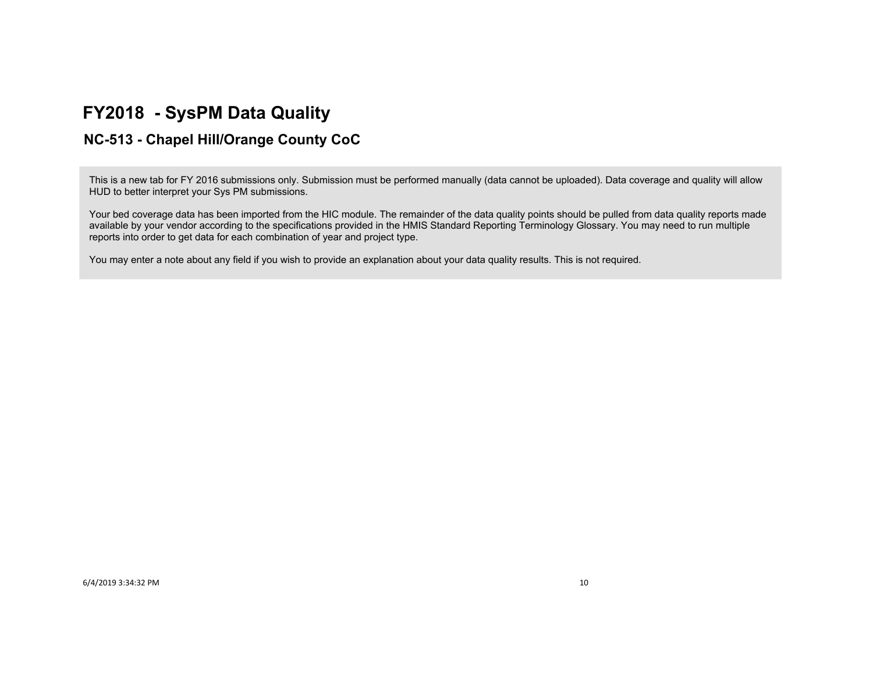## **FY2018 - SysPM Data Quality**

## **NC-513 - Chapel Hill/Orange County CoC**

This is a new tab for FY 2016 submissions only. Submission must be performed manually (data cannot be uploaded). Data coverage and quality will allow HUD to better interpret your Sys PM submissions.

Your bed coverage data has been imported from the HIC module. The remainder of the data quality points should be pulled from data quality reports made available by your vendor according to the specifications provided in the HMIS Standard Reporting Terminology Glossary. You may need to run multiple reports into order to get data for each combination of year and project type.

You may enter a note about any field if you wish to provide an explanation about your data quality results. This is not required.